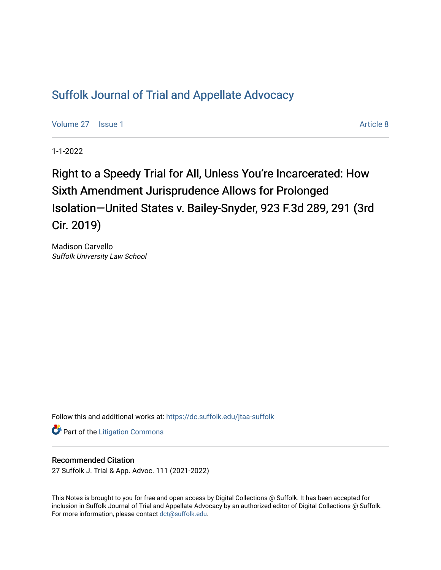# [Suffolk Journal of Trial and Appellate Advocacy](https://dc.suffolk.edu/jtaa-suffolk)

[Volume 27](https://dc.suffolk.edu/jtaa-suffolk/vol27) | [Issue 1](https://dc.suffolk.edu/jtaa-suffolk/vol27/iss1) Article 8

1-1-2022

# Right to a Speedy Trial for All, Unless You're Incarcerated: How Sixth Amendment Jurisprudence Allows for Prolonged Isolation—United States v. Bailey-Snyder, 923 F.3d 289, 291 (3rd Cir. 2019)

Madison Carvello Suffolk University Law School

Follow this and additional works at: [https://dc.suffolk.edu/jtaa-suffolk](https://dc.suffolk.edu/jtaa-suffolk?utm_source=dc.suffolk.edu%2Fjtaa-suffolk%2Fvol27%2Fiss1%2F8&utm_medium=PDF&utm_campaign=PDFCoverPages) 

**Part of the [Litigation Commons](https://network.bepress.com/hgg/discipline/910?utm_source=dc.suffolk.edu%2Fjtaa-suffolk%2Fvol27%2Fiss1%2F8&utm_medium=PDF&utm_campaign=PDFCoverPages)** 

# Recommended Citation

27 Suffolk J. Trial & App. Advoc. 111 (2021-2022)

This Notes is brought to you for free and open access by Digital Collections @ Suffolk. It has been accepted for inclusion in Suffolk Journal of Trial and Appellate Advocacy by an authorized editor of Digital Collections @ Suffolk. For more information, please contact [dct@suffolk.edu](mailto:dct@suffolk.edu).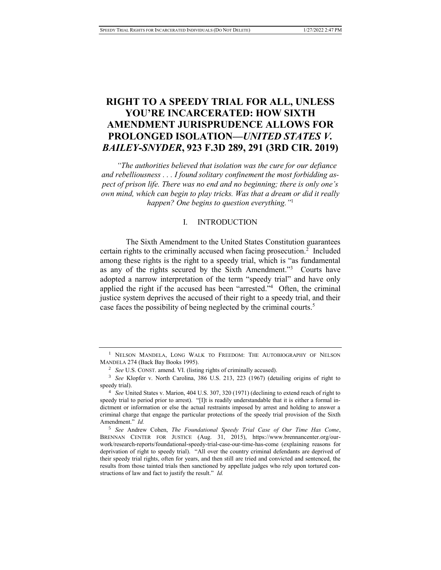# **RIGHT TO A SPEEDY TRIAL FOR ALL, UNLESS YOU'RE INCARCERATED: HOW SIXTH AMENDMENT JURISPRUDENCE ALLOWS FOR PROLONGED ISOLATION—***UNITED STATES V. BAILEY-SNYDER***, 923 F.3D 289, 291 (3RD CIR. 2019)**

*"The authorities believed that isolation was the cure for our defiance and rebelliousness . . . I found solitary confinement the most forbidding aspect of prison life. There was no end and no beginning; there is only one's own mind, which can begin to play tricks. Was that a dream or did it really happen? One begins to question everything."*<sup>1</sup>

# I. INTRODUCTION

The Sixth Amendment to the United States Constitution guarantees certain rights to the criminally accused when facing prosecution. $2$  Included among these rights is the right to a speedy trial, which is "as fundamental as any of the rights secured by the Sixth Amendment."<sup>3</sup> Courts have adopted a narrow interpretation of the term "speedy trial" and have only applied the right if the accused has been "arrested."<sup>4</sup> Often, the criminal justice system deprives the accused of their right to a speedy trial, and their case faces the possibility of being neglected by the criminal courts.<sup>5</sup>

<sup>&</sup>lt;sup>1</sup> NELSON MANDELA, LONG WALK TO FREEDOM: THE AUTOBIOGRAPHY OF NELSON MANDELA 274 (Back Bay Books 1995).

<sup>2</sup> *See* U.S. CONST. amend. VI. (listing rights of criminally accused).

<sup>3</sup> *See* Klopfer v. North Carolina, 386 U.S. 213, 223 (1967) (detailing origins of right to speedy trial).

<sup>4</sup> *See* United States v. Marion, 404 U.S. 307, 320 (1971) (declining to extend reach of right to speedy trial to period prior to arrest). "[I]t is readily understandable that it is either a formal indictment or information or else the actual restraints imposed by arrest and holding to answer a criminal charge that engage the particular protections of the speedy trial provision of the Sixth Amendment." *Id.* 

<sup>5</sup> *See* Andrew Cohen, *The Foundational Speedy Trial Case of Our Time Has Come*, BRENNAN CENTER FOR JUSTICE (Aug. 31, 2015), https://www.brennancenter.org/ourwork/research-reports/foundational-speedy-trial-case-our-time-has-come (explaining reasons for deprivation of right to speedy trial). "All over the country criminal defendants are deprived of their speedy trial rights, often for years, and then still are tried and convicted and sentenced, the results from those tainted trials then sanctioned by appellate judges who rely upon tortured constructions of law and fact to justify the result." *Id.*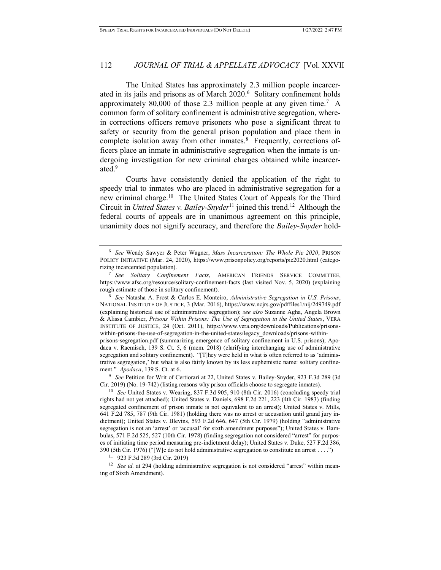The United States has approximately 2.3 million people incarcerated in its jails and prisons as of March 2020.<sup>6</sup> Solitary confinement holds approximately 80,000 of those 2.3 million people at any given time.<sup>7</sup> A common form of solitary confinement is administrative segregation, wherein corrections officers remove prisoners who pose a significant threat to safety or security from the general prison population and place them in complete isolation away from other inmates.<sup>8</sup> Frequently, corrections officers place an inmate in administrative segregation when the inmate is undergoing investigation for new criminal charges obtained while incarcerated.<sup>9</sup>

Courts have consistently denied the application of the right to speedy trial to inmates who are placed in administrative segregation for a new criminal charge.<sup>10</sup> The United States Court of Appeals for the Third Circuit in *United States v. Bailey-Snyder*<sup>11</sup> joined this trend.<sup>12</sup> Although the federal courts of appeals are in unanimous agreement on this principle, unanimity does not signify accuracy, and therefore the *Bailey-Snyder* hold-

<sup>8</sup> *See* Natasha A. Frost & Carlos E. Monteiro, *Administrative Segregation in U.S. Prisons*, NATIONAL INSTITUTE OF JUSTICE, 3 (Mar. 2016), https://www.ncjrs.gov/pdffiles1/nij/249749.pdf (explaining historical use of administrative segregation); *see also* Suzanne Agha, Angela Brown & Alissa Cambier, *Prisons Within Prisons: The Use of Segregation in the United States*, VERA INSTITUTE OF JUSTICE, 24 (Oct. 2011), https://www.vera.org/downloads/Publications/prisonswithin-prisons-the-use-of-segregation-in-the-united-states/legacy\_downloads/prisons-withinprisons-segregation.pdf (summarizing emergence of solitary confinement in U.S. prisons); Apodaca v. Raemisch, 139 S. Ct. 5, 6 (mem. 2018) (clarifying interchanging use of administrative

segregation and solitary confinement). "[T]hey were held in what is often referred to as 'administrative segregation,' but what is also fairly known by its less euphemistic name: solitary confinement." *Apodaca*, 139 S. Ct. at 6.

<sup>9</sup> *See* Petition for Writ of Certiorari at 22, United States v. Bailey-Snyder, 923 F.3d 289 (3d Cir. 2019) (No. 19-742) (listing reasons why prison officials choose to segregate inmates).

<sup>10</sup> *See* United States v. Wearing, 837 F.3d 905, 910 (8th Cir. 2016) (concluding speedy trial rights had not yet attached); United States v. Daniels, 698 F.2d 221, 223 (4th Cir. 1983) (finding segregated confinement of prison inmate is not equivalent to an arrest); United States v. Mills, 641 F.2d 785, 787 (9th Cir. 1981) (holding there was no arrest or accusation until grand jury indictment); United States v. Blevins, 593 F.2d 646, 647 (5th Cir. 1979) (holding "administrative segregation is not an 'arrest' or 'accusal' for sixth amendment purposes"); United States v. Bambulas, 571 F.2d 525, 527 (10th Cir. 1978) (finding segregation not considered "arrest" for purposes of initiating time period measuring pre-indictment delay); United States v. Duke, 527 F.2d 386, 390 (5th Cir. 1976) ("[W]e do not hold administrative segregation to constitute an arrest . . . .")

<sup>11</sup> 923 F.3d 289 (3rd Cir. 2019)

<sup>12</sup> *See id.* at 294 (holding administrative segregation is not considered "arrest" within meaning of Sixth Amendment).

<sup>6</sup> *See* Wendy Sawyer & Peter Wagner, *Mass Incarceration: The Whole Pie 2020*, PRISON POLICY INITIATIVE (Mar. 24, 2020), https://www.prisonpolicy.org/reports/pie2020.html (categorizing incarcerated population).

<sup>7</sup> *See Solitary Confinement Facts*, AMERICAN FRIENDS SERVICE COMMITTEE, https://www.afsc.org/resource/solitary-confinement-facts (last visited Nov. 5, 2020) (explaining rough estimate of those in solitary confinement).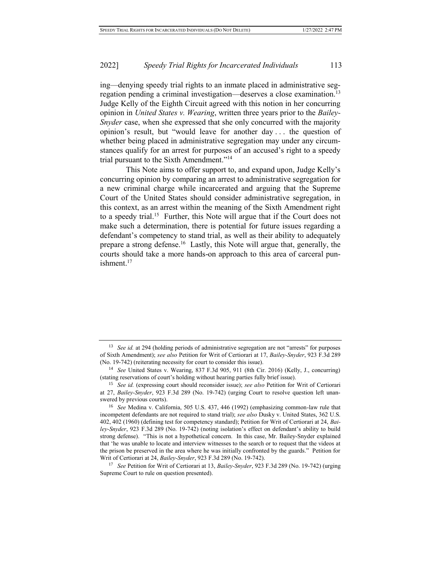ing—denying speedy trial rights to an inmate placed in administrative segregation pending a criminal investigation—deserves a close examination.<sup>13</sup> Judge Kelly of the Eighth Circuit agreed with this notion in her concurring opinion in *United States v. Wearing*, written three years prior to the *Bailey-Snyder* case, when she expressed that she only concurred with the majority opinion's result, but "would leave for another day . . . the question of whether being placed in administrative segregation may under any circumstances qualify for an arrest for purposes of an accused's right to a speedy trial pursuant to the Sixth Amendment."<sup>14</sup>

This Note aims to offer support to, and expand upon, Judge Kelly's concurring opinion by comparing an arrest to administrative segregation for a new criminal charge while incarcerated and arguing that the Supreme Court of the United States should consider administrative segregation, in this context, as an arrest within the meaning of the Sixth Amendment right to a speedy trial.<sup>15</sup> Further, this Note will argue that if the Court does not make such a determination, there is potential for future issues regarding a defendant's competency to stand trial, as well as their ability to adequately prepare a strong defense.<sup>16</sup> Lastly, this Note will argue that, generally, the courts should take a more hands-on approach to this area of carceral punishment.<sup>17</sup>

<sup>13</sup> *See id.* at 294 (holding periods of administrative segregation are not "arrests" for purposes of Sixth Amendment); *see also* Petition for Writ of Certiorari at 17, *Bailey-Snyder*, 923 F.3d 289 (No. 19-742) (reiterating necessity for court to consider this issue).

<sup>14</sup> *See* United States v. Wearing, 837 F.3d 905, 911 (8th Cir. 2016) (Kelly, J., concurring) (stating reservations of court's holding without hearing parties fully brief issue).

<sup>15</sup> *See id.* (expressing court should reconsider issue); *see also* Petition for Writ of Certiorari at 27, *Bailey-Snyder*, 923 F.3d 289 (No. 19-742) (urging Court to resolve question left unanswered by previous courts).

<sup>16</sup> *See* Medina v. California, 505 U.S. 437, 446 (1992) (emphasizing common-law rule that incompetent defendants are not required to stand trial); *see also* Dusky v. United States, 362 U.S. 402, 402 (1960) (defining test for competency standard); Petition for Writ of Certiorari at 24, *Bailey-Snyder*, 923 F.3d 289 (No. 19-742) (noting isolation's effect on defendant's ability to build strong defense). "This is not a hypothetical concern. In this case, Mr. Bailey-Snyder explained that 'he was unable to locate and interview witnesses to the search or to request that the videos at the prison be preserved in the area where he was initially confronted by the guards." Petition for Writ of Certiorari at 24, *Bailey-Snyder*, 923 F.3d 289 (No. 19-742).

<sup>17</sup> *See* Petition for Writ of Certiorari at 13, *Bailey-Snyder*, 923 F.3d 289 (No. 19-742) (urging Supreme Court to rule on question presented).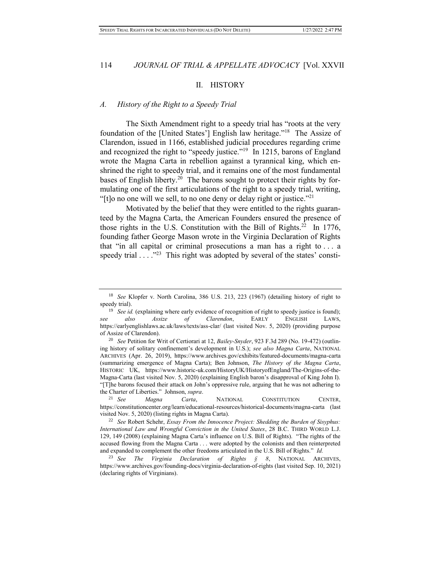#### II. HISTORY

# *A. History of the Right to a Speedy Trial*

The Sixth Amendment right to a speedy trial has "roots at the very foundation of the [United States'] English law heritage."<sup>18</sup> The Assize of Clarendon, issued in 1166, established judicial procedures regarding crime and recognized the right to "speedy justice."<sup>19</sup> In 1215, barons of England wrote the Magna Carta in rebellion against a tyrannical king, which enshrined the right to speedy trial, and it remains one of the most fundamental bases of English liberty.<sup>20</sup> The barons sought to protect their rights by formulating one of the first articulations of the right to a speedy trial, writing, "[t]o no one will we sell, to no one deny or delay right or justice."<sup>21</sup>

Motivated by the belief that they were entitled to the rights guaranteed by the Magna Carta, the American Founders ensured the presence of those rights in the U.S. Constitution with the Bill of Rights.<sup>22</sup> In 1776, founding father George Mason wrote in the Virginia Declaration of Rights that "in all capital or criminal prosecutions a man has a right to . . . a speedy trial  $\dots$ <sup>23</sup> This right was adopted by several of the states' consti-

<sup>18</sup> *See* Klopfer v. North Carolina, 386 U.S. 213, 223 (1967) (detailing history of right to speedy trial).

<sup>&</sup>lt;sup>19</sup> *See id.* (explaining where early evidence of recognition of right to speedy justice is found); *see also Assize of Clarendon*, EARLY ENGLISH LAWS, https://earlyenglishlaws.ac.uk/laws/texts/ass-clar/ (last visited Nov. 5, 2020) (providing purpose of Assize of Clarendon).

<sup>20</sup> *See* Petition for Writ of Certiorari at 12, *Bailey-Snyder*, 923 F.3d 289 (No. 19-472) (outlining history of solitary confinement's development in U.S.); *see also Magna Carta*, NATIONAL ARCHIVES (Apr. 26, 2019), https://www.archives.gov/exhibits/featured-documents/magna-carta (summarizing emergence of Magna Carta); Ben Johnson, *The History of the Magna Carta*, HISTORIC UK, https://www.historic-uk.com/HistoryUK/HistoryofEngland/The-Origins-of-the-Magna-Carta (last visited Nov. 5, 2020) (explaining English baron's disapproval of King John I). "[T]he barons focused their attack on John's oppressive rule, arguing that he was not adhering to the Charter of Liberties." Johnson, *supra*.

<sup>21</sup> *See Magna Carta*, NATIONAL CONSTITUTION CENTER, https://constitutioncenter.org/learn/educational-resources/historical-documents/magna-carta (last visited Nov. 5, 2020) (listing rights in Magna Carta).

<sup>22</sup> *See* Robert Schehr, *Essay From the Innocence Project: Shedding the Burden of Sisyphus: International Law and Wrongful Conviction in the United States*, 28 B.C. THIRD WORLD L.J. 129, 149 (2008) (explaining Magna Carta's influence on U.S. Bill of Rights). "The rights of the accused flowing from the Magna Carta . . . were adopted by the colonists and then reinterpreted and expanded to complement the other freedoms articulated in the U.S. Bill of Rights." *Id.* 

<sup>23</sup> *See The Virginia Declaration of Rights § 8*, NATIONAL ARCHIVES, https://www.archives.gov/founding-docs/virginia-declaration-of-rights (last visited Sep. 10, 2021) (declaring rights of Virginians).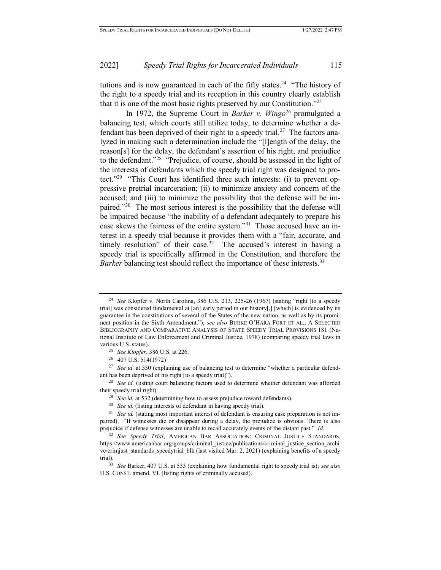tutions and is now guaranteed in each of the fifty states.<sup>24</sup> "The history of the right to a speedy trial and its reception in this country clearly establish that it is one of the most basic rights preserved by our Constitution."<sup>25</sup>

In 1972, the Supreme Court in *Barker v. Wingo*<sup>26</sup> promulgated a balancing test, which courts still utilize today, to determine whether a defendant has been deprived of their right to a speedy trial.<sup>27</sup> The factors analyzed in making such a determination include the "[l]ength of the delay, the reason[s] for the delay, the defendant's assertion of his right, and prejudice to the defendant."<sup>28</sup> "Prejudice, of course, should be assessed in the light of the interests of defendants which the speedy trial right was designed to protect."<sup>29</sup> "This Court has identified three such interests: (i) to prevent oppressive pretrial incarceration; (ii) to minimize anxiety and concern of the accused; and (iii) to minimize the possibility that the defense will be impaired."<sup>30</sup> The most serious interest is the possibility that the defense will be impaired because "the inability of a defendant adequately to prepare his case skews the fairness of the entire system."<sup>31</sup> Those accused have an interest in a speedy trial because it provides them with a "fair, accurate, and timely resolution" of their case.<sup>32</sup> The accused's interest in having a speedy trial is specifically affirmed in the Constitution, and therefore the *Barker* balancing test should reflect the importance of these interests.<sup>33</sup>

<sup>24</sup> *See* Klopfer v. North Carolina, 386 U.S. 213, 225-26 (1967) (stating "right [to a speedy trial] was considered fundamental at [an] early period in our history[,] [which] is evidenced by its guarantee in the constitutions of several of the States of the new nation, as well as by its prominent position in the Sixth Amendment."); *see also* BURKE O'HARA FORT ET AL., A SELECTED BIBLIOGRAPHY AND COMPARATIVE ANALYSIS OF STATE SPEEDY TRIAL PROVISIONS 181 (National Institute of Law Enforcement and Criminal Justice, 1978) (comparing speedy trial laws in various U.S. states).

<sup>25</sup> *See Klopfer*, 386 U.S. at 226.

<sup>26</sup> 407 U.S. 514(1972)

<sup>&</sup>lt;sup>27</sup> *See id.* at 530 (explaining use of balancing test to determine "whether a particular defendant has been deprived of his right [to a speedy trial]").

<sup>&</sup>lt;sup>28</sup> *See id.* (listing court balancing factors used to determine whether defendant was afforded their speedy trial right).

<sup>&</sup>lt;sup>29</sup> *See id.* at 532 (determining how to assess prejudice toward defendants).

<sup>30</sup> *See id.* (listing interests of defendant in having speedy trial).

<sup>31</sup> *See id.* (stating most important interest of defendant is ensuring case preparation is not impaired). "If witnesses die or disappear during a delay, the prejudice is obvious. There is also prejudice if defense witnesses are unable to recall accurately events of the distant past." *Id.* 

<sup>32</sup> *See Speedy Trial*, AMERICAN BAR ASSOCIATION: CRIMINAL JUSTICE STANDARDS, https://www.americanbar.org/groups/criminal\_justice/publications/criminal\_justice\_section\_archi ve/crimjust\_standards\_speedytrial\_blk (last visited Mar. 2, 2021) (explaining benefits of a speedy trial).

<sup>33</sup> *See* Barker, 407 U.S. at 533 (explaining how fundamental right to speedy trial is); *see also*  U.S. CONST. amend. VI. (listing rights of criminally accused).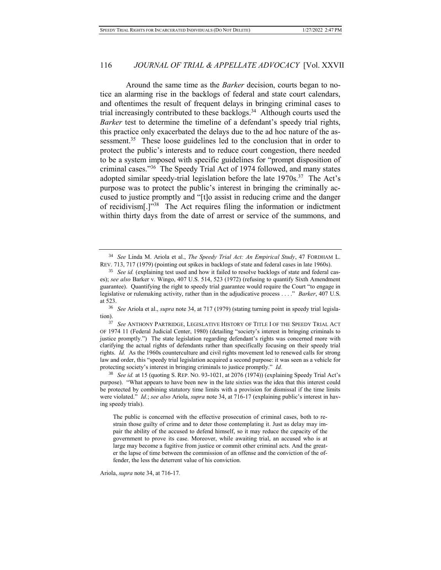Around the same time as the *Barker* decision, courts began to notice an alarming rise in the backlogs of federal and state court calendars, and oftentimes the result of frequent delays in bringing criminal cases to trial increasingly contributed to these backlogs.<sup>34</sup> Although courts used the *Barker* test to determine the timeline of a defendant's speedy trial rights, this practice only exacerbated the delays due to the ad hoc nature of the assessment.<sup>35</sup> These loose guidelines led to the conclusion that in order to protect the public's interests and to reduce court congestion, there needed to be a system imposed with specific guidelines for "prompt disposition of criminal cases."<sup>36</sup> The Speedy Trial Act of 1974 followed, and many states adopted similar speedy-trial legislation before the late  $1970s$ .<sup>37</sup> The Act's purpose was to protect the public's interest in bringing the criminally accused to justice promptly and "[t]o assist in reducing crime and the danger of recidivism[.]"<sup>38</sup> The Act requires filing the information or indictment within thirty days from the date of arrest or service of the summons, and

The public is concerned with the effective prosecution of criminal cases, both to restrain those guilty of crime and to deter those contemplating it. Just as delay may impair the ability of the accused to defend himself, so it may reduce the capacity of the government to prove its case. Moreover, while awaiting trial, an accused who is at large may become a fugitive from justice or commit other criminal acts. And the greater the lapse of time between the commission of an offense and the conviction of the offender, the less the deterrent value of his conviction.

Ariola, *supra* note 34, at 716-17*.* 

<sup>34</sup> *See* Linda M. Ariola et al., *The Speedy Trial Act: An Empirical Study*, 47 FORDHAM L. REV. 713, 717 (1979) (pointing out spikes in backlogs of state and federal cases in late 1960s).

<sup>&</sup>lt;sup>35</sup> *See id.* (explaining test used and how it failed to resolve backlogs of state and federal cases); *see also* Barker v. Wingo, 407 U.S. 514, 523 (1972) (refusing to quantify Sixth Amendment guarantee). Quantifying the right to speedy trial guarantee would require the Court "to engage in legislative or rulemaking activity, rather than in the adjudicative process . . . ." *Barker*, 407 U.S. at 523.

<sup>36</sup> *See* Ariola et al., *supra* note 34, at 717 (1979) (stating turning point in speedy trial legislation).

<sup>37</sup> *See* ANTHONY PARTRIDGE, LEGISLATIVE HISTORY OF TITLE I OF THE SPEEDY TRIAL ACT OF 1974 11 (Federal Judicial Center, 1980) (detailing "society's interest in bringing criminals to justice promptly.") The state legislation regarding defendant's rights was concerned more with clarifying the actual rights of defendants rather than specifically focusing on their speedy trial rights. *Id.* As the 1960s counterculture and civil rights movement led to renewed calls for strong law and order, this "speedy trial legislation acquired a second purpose: it was seen as a vehicle for protecting society's interest in bringing criminals to justice promptly." *Id.* 

<sup>&</sup>lt;sup>38</sup> *See id.* at 15 (quoting S. REP. NO. 93-1021, at 2076 (1974)) (explaining Speedy Trial Act's purpose). "What appears to have been new in the late sixties was the idea that this interest could be protected by combining statutory time limits with a provision for dismissal if the time limits were violated." *Id*.; *see also* Ariola, *supra* note 34, at 716-17 (explaining public's interest in having speedy trials).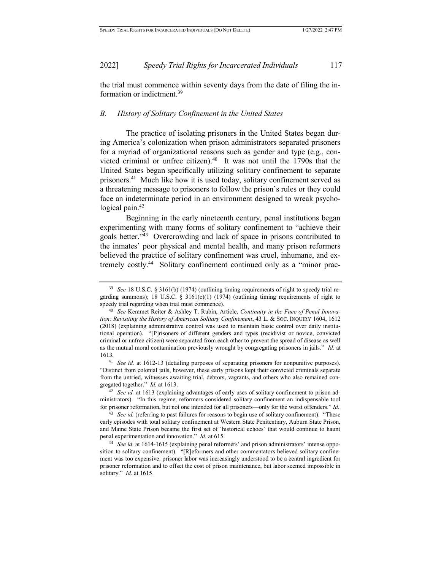the trial must commence within seventy days from the date of filing the information or indictment.<sup>39</sup>

# *B. History of Solitary Confinement in the United States*

The practice of isolating prisoners in the United States began during America's colonization when prison administrators separated prisoners for a myriad of organizational reasons such as gender and type (e.g., convicted criminal or unfree citizen). $40$  It was not until the 1790s that the United States began specifically utilizing solitary confinement to separate prisoners.<sup>41</sup> Much like how it is used today, solitary confinement served as a threatening message to prisoners to follow the prison's rules or they could face an indeterminate period in an environment designed to wreak psychological pain. $42$ 

Beginning in the early nineteenth century, penal institutions began experimenting with many forms of solitary confinement to "achieve their goals better."<sup>43</sup> Overcrowding and lack of space in prisons contributed to the inmates' poor physical and mental health, and many prison reformers believed the practice of solitary confinement was cruel, inhumane, and extremely costly.<sup>44</sup> Solitary confinement continued only as a "minor prac-

<sup>41</sup> *See id.* at 1612-13 (detailing purposes of separating prisoners for nonpunitive purposes). "Distinct from colonial jails, however, these early prisons kept their convicted criminals separate from the untried, witnesses awaiting trial, debtors, vagrants, and others who also remained congregated together." *Id.* at 1613.

<sup>39</sup> *See* 18 U.S.C. § 3161(b) (1974) (outlining timing requirements of right to speedy trial regarding summons); 18 U.S.C. § 3161(c)(1) (1974) (outlining timing requirements of right to speedy trial regarding when trial must commence).

<sup>40</sup> *See* Keramet Reiter & Ashley T. Rubin, Article, *Continuity in the Face of Penal Innovation: Revisiting the History of American Solitary Confinement*, 43 L. & SOC. INQUIRY 1604, 1612 (2018) (explaining administrative control was used to maintain basic control over daily institutional operation). "[P]risoners of different genders and types (recidivist or novice, convicted criminal or unfree citizen) were separated from each other to prevent the spread of disease as well as the mutual moral contamination previously wrought by congregating prisoners in jails." *Id.* at 1613*.*

<sup>42</sup> *See id.* at 1613 (explaining advantages of early uses of solitary confinement to prison administrators). "In this regime, reformers considered solitary confinement an indispensable tool for prisoner reformation, but not one intended for all prisoners—only for the worst offenders." *Id.* 

<sup>43</sup> *See id.* (referring to past failures for reasons to begin use of solitary confinement). "These early episodes with total solitary confinement at Western State Penitentiary, Auburn State Prison, and Maine State Prison became the first set of 'historical echoes' that would continue to haunt penal experimentation and innovation." *Id.* at 615.

<sup>44</sup> *See id.* at 1614-1615 (explaining penal reformers' and prison administrators' intense opposition to solitary confinement). "[R]eformers and other commentators believed solitary confinement was too expensive: prisoner labor was increasingly understood to be a central ingredient for prisoner reformation and to offset the cost of prison maintenance, but labor seemed impossible in solitary." *Id.* at 1615.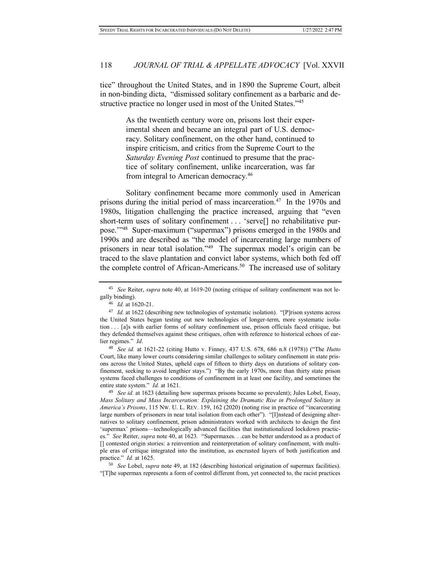tice" throughout the United States, and in 1890 the Supreme Court, albeit in non-binding dicta, "dismissed solitary confinement as a barbaric and destructive practice no longer used in most of the United States."<sup>45</sup>

> As the twentieth century wore on, prisons lost their experimental sheen and became an integral part of U.S. democracy. Solitary confinement, on the other hand, continued to inspire criticism, and critics from the Supreme Court to the *Saturday Evening Post* continued to presume that the practice of solitary confinement, unlike incarceration, was far from integral to American democracy.<sup>46</sup>

Solitary confinement became more commonly used in American prisons during the initial period of mass incarceration.<sup>47</sup> In the 1970s and 1980s, litigation challenging the practice increased, arguing that "even short-term uses of solitary confinement . . . 'serve[] no rehabilitative purpose.'"<sup>48</sup> Super-maximum ("supermax") prisons emerged in the 1980s and 1990s and are described as "the model of incarcerating large numbers of prisoners in near total isolation."<sup>49</sup> The supermax model's origin can be traced to the slave plantation and convict labor systems, which both fed off the complete control of African-Americans.<sup>50</sup> The increased use of solitary

<sup>48</sup> *See id.* at 1621-22 (citing Hutto v. Finney, 437 U.S. 678, 686 n.8 (1978)) ("The *Hutto* Court, like many lower courts considering similar challenges to solitary confinement in state prisons across the United States, upheld caps of fifteen to thirty days on durations of solitary confinement, seeking to avoid lengthier stays.") "By the early 1970s, more than thirty state prison systems faced challenges to conditions of confinement in at least one facility, and sometimes the entire state system." *Id.* at 1621.

<sup>45</sup> *See* Reiter, *supra* note 40, at 1619-20 (noting critique of solitary confinement was not legally binding).

<sup>46</sup> *Id.* at 1620-21.

<sup>47</sup> *Id.* at 1622 (describing new technologies of systematic isolation). "[P]rison systems across the United States began testing out new technologies of longer-term, more systematic isolation . . . [a]s with earlier forms of solitary confinement use, prison officials faced critique, but they defended themselves against these critiques, often with reference to historical echoes of earlier regimes." *Id*.

<sup>49</sup> *See id.* at 1623 (detailing how supermax prisons became so prevalent); Jules Lobel, Essay, *Mass Solitary and Mass Incarceration: Explaining the Dramatic Rise in Prolonged Solitary in America's Prisons*, 115 NW. U. L. REV. 159, 162 (2020) (noting rise in practice of "incarcerating large numbers of prisoners in near total isolation from each other"). "[I]nstead of designing alternatives to solitary confinement, prison administrators worked with architects to design the first 'supermax' prisons—technologically advanced facilities that institutionalized lockdown practices." *See* Reiter, *supra* note 40, at 1623*.* "Supermaxes. . .can be better understood as a product of [] contested origin stories: a reinvention and reinterpretation of solitary confinement, with multiple eras of critique integrated into the institution, as encrusted layers of both justification and practice." *Id.* at 1625.

<sup>50</sup> *See* Lobel, *supra* note 49, at 182 (describing historical origination of supermax facilities). "[T]he supermax represents a form of control different from, yet connected to, the racist practices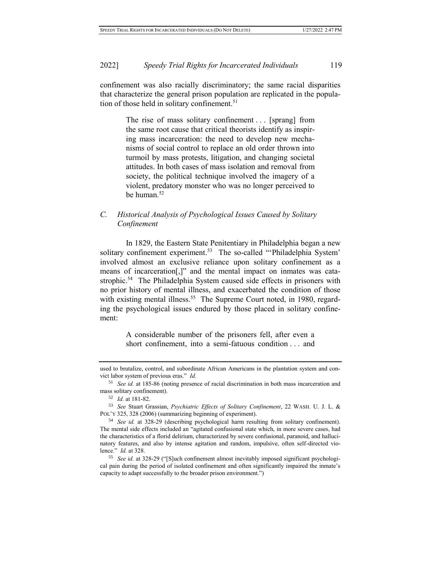confinement was also racially discriminatory; the same racial disparities that characterize the general prison population are replicated in the population of those held in solitary confinement.<sup>51</sup>

> The rise of mass solitary confinement . . . [sprang] from the same root cause that critical theorists identify as inspiring mass incarceration: the need to develop new mechanisms of social control to replace an old order thrown into turmoil by mass protests, litigation, and changing societal attitudes. In both cases of mass isolation and removal from society, the political technique involved the imagery of a violent, predatory monster who was no longer perceived to be human.<sup>52</sup>

# *C. Historical Analysis of Psychological Issues Caused by Solitary Confinement*

In 1829, the Eastern State Penitentiary in Philadelphia began a new solitary confinement experiment.<sup>53</sup> The so-called "Philadelphia System' involved almost an exclusive reliance upon solitary confinement as a means of incarceration[,]" and the mental impact on inmates was catastrophic.<sup>54</sup> The Philadelphia System caused side effects in prisoners with no prior history of mental illness, and exacerbated the condition of those with existing mental illness.<sup>55</sup> The Supreme Court noted, in 1980, regarding the psychological issues endured by those placed in solitary confinement:

> A considerable number of the prisoners fell, after even a short confinement, into a semi-fatuous condition . . . and

used to brutalize, control, and subordinate African Americans in the plantation system and convict labor system of previous eras." *Id.* 

<sup>51</sup> *See id.* at 185-86 (noting presence of racial discrimination in both mass incarceration and mass solitary confinement).

<sup>52</sup> *Id.* at 181-82.

<sup>53</sup> *See* Stuart Grassian, *Psychiatric Effects of Solitary Confinement*, 22 WASH. U. J. L. & POL'Y 325, 328 (2006) (summarizing beginning of experiment).

<sup>54</sup> *See id.* at 328-29 (describing psychological harm resulting from solitary confinement). The mental side effects included an "agitated confusional state which, in more severe cases, had the characteristics of a florid delirium, characterized by severe confusional, paranoid, and hallucinatory features, and also by intense agitation and random, impulsive, often self-directed violence." *Id.* at 328.

<sup>55</sup> *See id.* at 328-29 ("[S]uch confinement almost inevitably imposed significant psychological pain during the period of isolated confinement and often significantly impaired the inmate's capacity to adapt successfully to the broader prison environment.")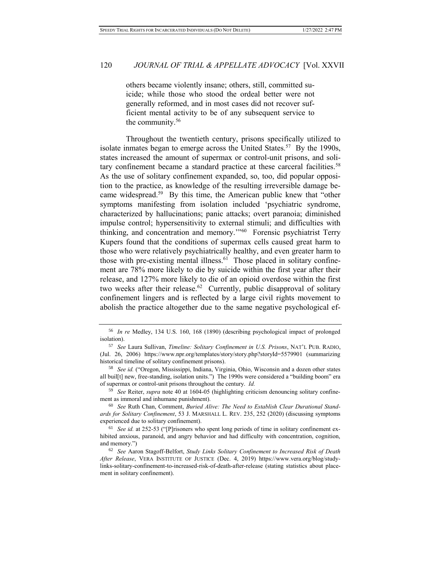others became violently insane; others, still, committed suicide; while those who stood the ordeal better were not generally reformed, and in most cases did not recover sufficient mental activity to be of any subsequent service to the community.<sup>56</sup>

Throughout the twentieth century, prisons specifically utilized to isolate inmates began to emerge across the United States.<sup>57</sup> By the 1990s, states increased the amount of supermax or control-unit prisons, and solitary confinement became a standard practice at these carceral facilities.<sup>58</sup> As the use of solitary confinement expanded, so, too, did popular opposition to the practice, as knowledge of the resulting irreversible damage became widespread.<sup>59</sup> By this time, the American public knew that "other symptoms manifesting from isolation included 'psychiatric syndrome, characterized by hallucinations; panic attacks; overt paranoia; diminished impulse control; hypersensitivity to external stimuli; and difficulties with thinking, and concentration and memory.<sup>"60</sup> Forensic psychiatrist Terry Kupers found that the conditions of supermax cells caused great harm to those who were relatively psychiatrically healthy, and even greater harm to those with pre-existing mental illness.<sup>61</sup> Those placed in solitary confinement are 78% more likely to die by suicide within the first year after their release, and 127% more likely to die of an opioid overdose within the first two weeks after their release.<sup>62</sup> Currently, public disapproval of solitary confinement lingers and is reflected by a large civil rights movement to abolish the practice altogether due to the same negative psychological ef-

<sup>59</sup> *See* Reiter, *supra* note 40 at 1604-05 (highlighting criticism denouncing solitary confinement as immoral and inhumane punishment).

<sup>60</sup> *See* Ruth Chan, Comment, *Buried Alive: The Need to Establish Clear Durational Standards for Solitary Confinement*, 53 J. MARSHALL L. REV. 235, 252 (2020) (discussing symptoms experienced due to solitary confinement).

<sup>56</sup> *In re* Medley, 134 U.S. 160, 168 (1890) (describing psychological impact of prolonged isolation).

<sup>57</sup> *See* Laura Sullivan, *Timeline: Solitary Confinement in U.S. Prisons*, NAT'L PUB. RADIO, (Jul. 26, 2006) https://www.npr.org/templates/story/story.php?storyId=5579901 (summarizing historical timeline of solitary confinement prisons).

<sup>58</sup> *See id.* ("Oregon, Mississippi, Indiana, Virginia, Ohio, Wisconsin and a dozen other states all buil[t] new, free-standing, isolation units.") The 1990s were considered a "building boom" era of supermax or control-unit prisons throughout the century. *Id.*

<sup>61</sup> *See id.* at 252-53 ("[P]risoners who spent long periods of time in solitary confinement exhibited anxious, paranoid, and angry behavior and had difficulty with concentration, cognition, and memory.")

<sup>62</sup> *See* Aaron Stagoff-Belfort, *Study Links Solitary Confinement to Increased Risk of Death After Release*, VERA INSTITUTE OF JUSTICE (Dec. 4, 2019) https://www.vera.org/blog/studylinks-solitary-confinement-to-increased-risk-of-death-after-release (stating statistics about placement in solitary confinement).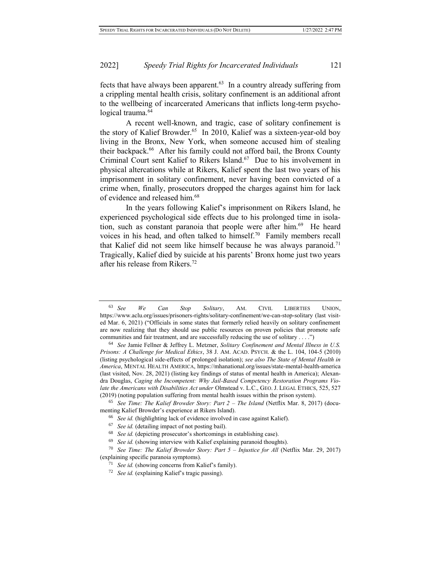fects that have always been apparent. $63$  In a country already suffering from a crippling mental health crisis, solitary confinement is an additional afront to the wellbeing of incarcerated Americans that inflicts long-term psychological trauma.<sup>64</sup>

A recent well-known, and tragic, case of solitary confinement is the story of Kalief Browder.<sup>65</sup> In 2010, Kalief was a sixteen-year-old boy living in the Bronx, New York, when someone accused him of stealing their backpack.<sup>66</sup> After his family could not afford bail, the Bronx County Criminal Court sent Kalief to Rikers Island.<sup>67</sup> Due to his involvement in physical altercations while at Rikers, Kalief spent the last two years of his imprisonment in solitary confinement, never having been convicted of a crime when, finally, prosecutors dropped the charges against him for lack of evidence and released him.<sup>68</sup>

In the years following Kalief's imprisonment on Rikers Island, he experienced psychological side effects due to his prolonged time in isolation, such as constant paranoia that people were after him.<sup>69</sup> He heard voices in his head, and often talked to himself.<sup>70</sup> Family members recall that Kalief did not seem like himself because he was always paranoid.<sup>71</sup> Tragically, Kalief died by suicide at his parents' Bronx home just two years after his release from Rikers.<sup>72</sup>

<sup>63</sup> *See We Can Stop Solitary*, AM. CIVIL LIBERTIES UNION, https://www.aclu.org/issues/prisoners-rights/solitary-confinement/we-can-stop-solitary (last visited Mar. 6, 2021) ("Officials in some states that formerly relied heavily on solitary confinement are now realizing that they should use public resources on proven policies that promote safe communities and fair treatment, and are successfully reducing the use of solitary . . . .")

<sup>64</sup> *See* Jamie Fellner & Jeffrey L. Metzner, *Solitary Confinement and Mental Illness in U.S. Prisons: A Challenge for Medical Ethics*, 38 J. AM. ACAD. PSYCH. & the L. 104, 104-5 (2010) (listing psychological side-effects of prolonged isolation); *see also The State of Mental Health in America*, MENTAL HEALTH AMERICA, https://mhanational.org/issues/state-mental-health-america (last visited, Nov. 28, 2021) (listing key findings of status of mental health in America); Alexandra Douglas, *Caging the Incompetent: Why Jail-Based Competency Restoration Programs Violate the Americans with Disabilities Act under* Olmstead v. L.C., GEO. J. LEGAL ETHICS, 525, 527 (2019) (noting population suffering from mental health issues within the prison system).

<sup>65</sup> *See Time: The Kalief Browder Story: Part 2 – The Island* (Netflix Mar. 8, 2017) (documenting Kalief Browder's experience at Rikers Island).

<sup>66</sup> *See id.* (highlighting lack of evidence involved in case against Kalief).

<sup>67</sup> *See id.* (detailing impact of not posting bail).

<sup>&</sup>lt;sup>68</sup> *See id.* (depicting prosecutor's shortcomings in establishing case).

See id. (showing interview with Kalief explaining paranoid thoughts).

<sup>70</sup> *See Time: The Kalief Browder Story: Part 5 – Injustice for All* (Netflix Mar. 29, 2017) (explaining specific paranoia symptoms).

<sup>71</sup> *See id.* (showing concerns from Kalief's family).

<sup>72</sup> *See id.* (explaining Kalief's tragic passing).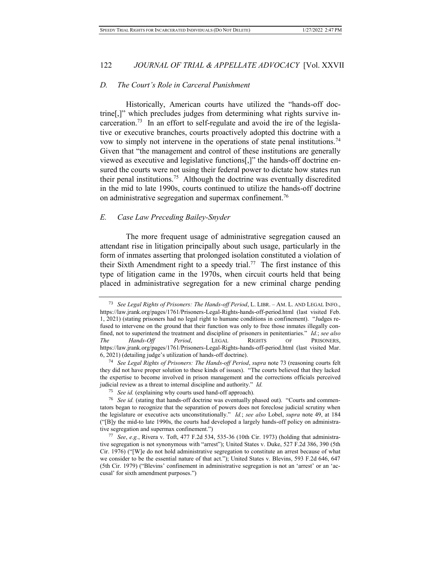# *D. The Court's Role in Carceral Punishment*

Historically, American courts have utilized the "hands-off doctrine[,]" which precludes judges from determining what rights survive incarceration.<sup>73</sup> In an effort to self-regulate and avoid the ire of the legislative or executive branches, courts proactively adopted this doctrine with a vow to simply not intervene in the operations of state penal institutions.<sup>74</sup> Given that "the management and control of these institutions are generally viewed as executive and legislative functions[,]" the hands-off doctrine ensured the courts were not using their federal power to dictate how states run their penal institutions.<sup>75</sup> Although the doctrine was eventually discredited in the mid to late 1990s, courts continued to utilize the hands-off doctrine on administrative segregation and supermax confinement.<sup>76</sup>

# *E. Case Law Preceding Bailey-Snyder*

The more frequent usage of administrative segregation caused an attendant rise in litigation principally about such usage, particularly in the form of inmates asserting that prolonged isolation constituted a violation of their Sixth Amendment right to a speedy trial.<sup>77</sup> The first instance of this type of litigation came in the 1970s, when circuit courts held that being placed in administrative segregation for a new criminal charge pending

<sup>73</sup> *See Legal Rights of Prisoners: The Hands-off Period*, L. LIBR. – AM. L. AND LEGAL INFO., https://law.jrank.org/pages/1761/Prisoners-Legal-Rights-hands-off-period.html (last visited Feb. 1, 2021) (stating prisoners had no legal right to humane conditions in confinement). "Judges refused to intervene on the ground that their function was only to free those inmates illegally confined, not to superintend the treatment and discipline of prisoners in penitentiaries." *Id.*; *see also The Hands-Off Period*, LEGAL RIGHTS OF PRISONERS, https://law.jrank.org/pages/1761/Prisoners-Legal-Rights-hands-off-period.html (last visited Mar. 6, 2021) (detailing judge's utilization of hands-off doctrine).

<sup>74</sup> *See Legal Rights of Prisoners: The Hands-off Period*, *supra* note 73 (reasoning courts felt they did not have proper solution to these kinds of issues). "The courts believed that they lacked the expertise to become involved in prison management and the corrections officials perceived judicial review as a threat to internal discipline and authority." *Id.* 

<sup>75</sup> *See id.* (explaining why courts used hand-off approach).

<sup>&</sup>lt;sup>76</sup> *See id.* (stating that hands-off doctrine was eventually phased out). "Courts and commentators began to recognize that the separation of powers does not foreclose judicial scrutiny when the legislature or executive acts unconstitutionally." *Id.*; *see also* Lobel, *supra* note 49, at 184 ("[B]y the mid-to late 1990s, the courts had developed a largely hands-off policy on administrative segregation and supermax confinement.")

<sup>77</sup> *See*, *e.g.*, Rivera v. Toft, 477 F.2d 534, 535-36 (10th Cir. 1973) (holding that administrative segregation is not synonymous with "arrest"); United States v. Duke, 527 F.2d 386, 390 (5th Cir. 1976) ("[W]e do not hold administrative segregation to constitute an arrest because of what we consider to be the essential nature of that act."); United States v. Blevins, 593 F.2d 646, 647 (5th Cir. 1979) ("Blevins' confinement in administrative segregation is not an 'arrest' or an 'accusal' for sixth amendment purposes.")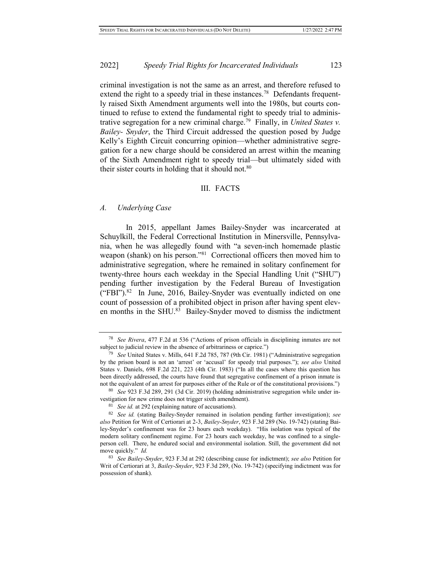criminal investigation is not the same as an arrest, and therefore refused to extend the right to a speedy trial in these instances.<sup>78</sup> Defendants frequently raised Sixth Amendment arguments well into the 1980s, but courts continued to refuse to extend the fundamental right to speedy trial to administrative segregation for a new criminal charge.<sup>79</sup> Finally, in *United States v. Bailey- Snyder*, the Third Circuit addressed the question posed by Judge Kelly's Eighth Circuit concurring opinion—whether administrative segregation for a new charge should be considered an arrest within the meaning of the Sixth Amendment right to speedy trial—but ultimately sided with their sister courts in holding that it should not. $80$ 

#### III. FACTS

#### *A. Underlying Case*

In 2015, appellant James Bailey-Snyder was incarcerated at Schuylkill, the Federal Correctional Institution in Minersville, Pennsylvania, when he was allegedly found with "a seven-inch homemade plastic weapon (shank) on his person."<sup>81</sup> Correctional officers then moved him to administrative segregation, where he remained in solitary confinement for twenty-three hours each weekday in the Special Handling Unit ("SHU") pending further investigation by the Federal Bureau of Investigation  $("FBI")$ .<sup>82</sup> In June, 2016, Bailey-Snyder was eventually indicted on one count of possession of a prohibited object in prison after having spent eleven months in the SHU.<sup>83</sup> Bailey-Snyder moved to dismiss the indictment

<sup>78</sup> *See Rivera*, 477 F.2d at 536 ("Actions of prison officials in disciplining inmates are not subject to judicial review in the absence of arbitrariness or caprice.")

<sup>79</sup> *See* United States v. Mills, 641 F.2d 785, 787 (9th Cir. 1981) ("Administrative segregation by the prison board is not an 'arrest' or 'accusal' for speedy trial purposes."); *see also* United States v. Daniels, 698 F.2d 221, 223 (4th Cir. 1983) ("In all the cases where this question has been directly addressed, the courts have found that segregative confinement of a prison inmate is not the equivalent of an arrest for purposes either of the Rule or of the constitutional provisions.")

<sup>80</sup> *See* 923 F.3d 289, 291 (3d Cir. 2019) (holding administrative segregation while under investigation for new crime does not trigger sixth amendment).

<sup>81</sup> *See id.* at 292 (explaining nature of accusations).

<sup>82</sup> *See id.* (stating Bailey-Snyder remained in isolation pending further investigation); *see also* Petition for Writ of Certiorari at 2-3, *Bailey-Snyder*, 923 F.3d 289 (No. 19-742) (stating Bailey-Snyder's confinement was for 23 hours each weekday). "His isolation was typical of the modern solitary confinement regime. For 23 hours each weekday, he was confined to a singleperson cell. There, he endured social and environmental isolation. Still, the government did not move quickly." *Id.*

<sup>83</sup> *See Bailey-Snyder*, 923 F.3d at 292 (describing cause for indictment); *see also* Petition for Writ of Certiorari at 3, *Bailey-Snyder*, 923 F.3d 289, (No. 19-742) (specifying indictment was for possession of shank).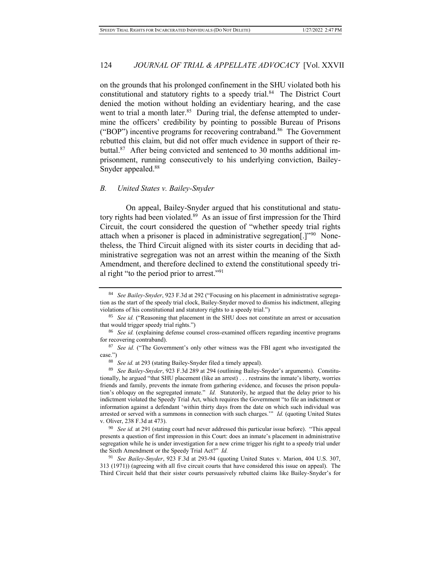on the grounds that his prolonged confinement in the SHU violated both his constitutional and statutory rights to a speedy trial.<sup>84</sup> The District Court denied the motion without holding an evidentiary hearing, and the case went to trial a month later.<sup>85</sup> During trial, the defense attempted to undermine the officers' credibility by pointing to possible Bureau of Prisons ("BOP") incentive programs for recovering contraband.<sup>86</sup> The Government rebutted this claim, but did not offer much evidence in support of their rebuttal.<sup>87</sup> After being convicted and sentenced to 30 months additional imprisonment, running consecutively to his underlying conviction, Bailey-Snyder appealed.<sup>88</sup>

# *B. United States v. Bailey-Snyder*

On appeal, Bailey-Snyder argued that his constitutional and statutory rights had been violated.<sup>89</sup> As an issue of first impression for the Third Circuit, the court considered the question of "whether speedy trial rights attach when a prisoner is placed in administrative segregation[.]"<sup>90</sup> Nonetheless, the Third Circuit aligned with its sister courts in deciding that administrative segregation was not an arrest within the meaning of the Sixth Amendment, and therefore declined to extend the constitutional speedy trial right "to the period prior to arrest."<sup>91</sup>

<sup>84</sup> *See Bailey-Snyder*, 923 F.3d at 292 ("Focusing on his placement in administrative segregation as the start of the speedy trial clock, Bailey-Snyder moved to dismiss his indictment, alleging violations of his constitutional and statutory rights to a speedy trial.")

<sup>&</sup>lt;sup>85</sup> *See id.* ("Reasoning that placement in the SHU does not constitute an arrest or accusation that would trigger speedy trial rights.")

<sup>86</sup> *See id.* (explaining defense counsel cross-examined officers regarding incentive programs for recovering contraband).

<sup>&</sup>lt;sup>87</sup> *See id.* ("The Government's only other witness was the FBI agent who investigated the case.")

<sup>88</sup> *See id.* at 293 (stating Bailey-Snyder filed a timely appeal).

<sup>89</sup> *See Bailey-Snyder*, 923 F.3d 289 at 294 (outlining Bailey-Snyder's arguments). Constitutionally, he argued "that SHU placement (like an arrest) . . . restrains the inmate's liberty, worries friends and family, prevents the inmate from gathering evidence, and focuses the prison population's obloquy on the segregated inmate." *Id.* Statutorily, he argued that the delay prior to his indictment violated the Speedy Trial Act, which requires the Government "to file an indictment or information against a defendant 'within thirty days from the date on which such individual was arrested or served with a summons in connection with such charges.'" *Id.* (quoting United States v. Oliver, 238 F.3d at 473).

<sup>90</sup> *See id.* at 291 (stating court had never addressed this particular issue before). "This appeal presents a question of first impression in this Court: does an inmate's placement in administrative segregation while he is under investigation for a new crime trigger his right to a speedy trial under the Sixth Amendment or the Speedy Trial Act?" *Id.* 

<sup>91</sup> *See Bailey-Snyder*, 923 F.3d at 293-94 (quoting United States v. Marion, 404 U.S. 307, 313 (1971)) (agreeing with all five circuit courts that have considered this issue on appeal). The Third Circuit held that their sister courts persuasively rebutted claims like Bailey-Snyder's for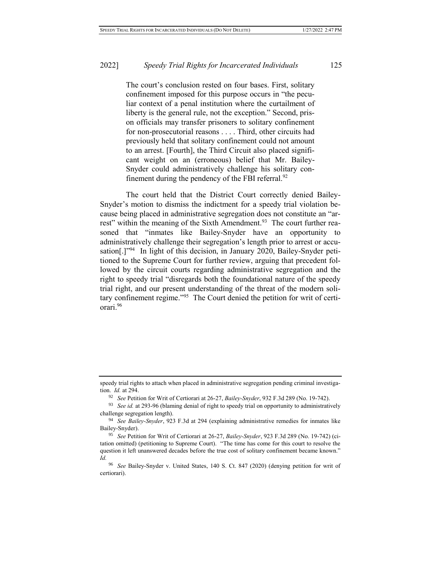The court's conclusion rested on four bases. First, solitary confinement imposed for this purpose occurs in "the peculiar context of a penal institution where the curtailment of liberty is the general rule, not the exception." Second, prison officials may transfer prisoners to solitary confinement for non-prosecutorial reasons . . . . Third, other circuits had previously held that solitary confinement could not amount to an arrest. [Fourth], the Third Circuit also placed significant weight on an (erroneous) belief that Mr. Bailey-Snyder could administratively challenge his solitary confinement during the pendency of the FBI referral. $92$ 

The court held that the District Court correctly denied Bailey-Snyder's motion to dismiss the indictment for a speedy trial violation because being placed in administrative segregation does not constitute an "arrest" within the meaning of the Sixth Amendment.<sup>93</sup> The court further reasoned that "inmates like Bailey-Snyder have an opportunity to administratively challenge their segregation's length prior to arrest or accusation<sup>[1]</sup><sup>194</sup> In light of this decision, in January 2020, Bailey-Snyder petitioned to the Supreme Court for further review, arguing that precedent followed by the circuit courts regarding administrative segregation and the right to speedy trial "disregards both the foundational nature of the speedy trial right, and our present understanding of the threat of the modern solitary confinement regime."<sup>95</sup> The Court denied the petition for writ of certiorari. 96

speedy trial rights to attach when placed in administrative segregation pending criminal investigation. *Id.* at 294.

<sup>92</sup> *See* Petition for Writ of Certiorari at 26-27, *Bailey-Snyder*, 932 F.3d 289 (No. 19-742).

<sup>93</sup> *See id.* at 293-96 (blaming denial of right to speedy trial on opportunity to administratively challenge segregation length).

<sup>94</sup> *See Bailey-Snyder*, 923 F.3d at 294 (explaining administrative remedies for inmates like Bailey-Snyder).

<sup>95</sup> *See* Petition for Writ of Certiorari at 26-27, *Bailey-Snyder*, 923 F.3d 289 (No. 19-742) (citation omitted) (petitioning to Supreme Court). "The time has come for this court to resolve the question it left unanswered decades before the true cost of solitary confinement became known." *Id.*

<sup>96</sup> *See* Bailey-Snyder v. United States, 140 S. Ct. 847 (2020) (denying petition for writ of certiorari).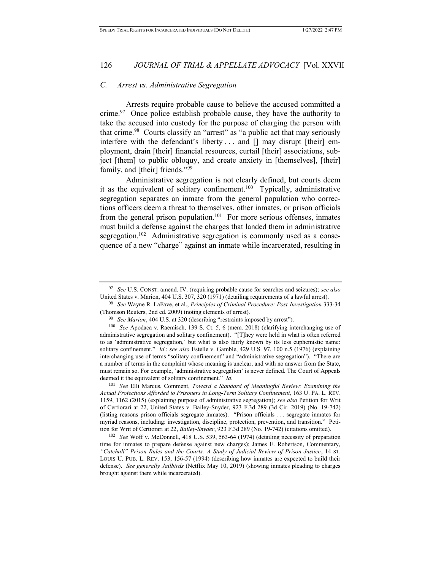# *C. Arrest vs. Administrative Segregation*

Arrests require probable cause to believe the accused committed a crime.<sup>97</sup> Once police establish probable cause, they have the authority to take the accused into custody for the purpose of charging the person with that crime.<sup>98</sup> Courts classify an "arrest" as "a public act that may seriously interfere with the defendant's liberty . . . and [] may disrupt [their] employment, drain [their] financial resources, curtail [their] associations, subject [them] to public obloquy, and create anxiety in [themselves], [their] family, and [their] friends."<sup>99</sup>

Administrative segregation is not clearly defined, but courts deem it as the equivalent of solitary confinement.<sup>100</sup> Typically, administrative segregation separates an inmate from the general population who corrections officers deem a threat to themselves, other inmates, or prison officials from the general prison population.<sup>101</sup> For more serious offenses, inmates must build a defense against the charges that landed them in administrative segregation.<sup>102</sup> Administrative segregation is commonly used as a consequence of a new "charge" against an inmate while incarcerated, resulting in

<sup>101</sup> *See* Elli Marcus, Comment, *Toward a Standard of Meaningful Review: Examining the Actual Protections Afforded to Prisoners in Long-Term Solitary Confinement*, 163 U. PA. L. REV. 1159, 1162 (2015) (explaining purpose of administrative segregation); *see also* Petition for Writ of Certiorari at 22, United States v. Bailey-Snyder, 923 F.3d 289 (3d Cir. 2019) (No. 19-742) (listing reasons prison officials segregate inmates). "Prison officials . . . segregate inmates for myriad reasons, including: investigation, discipline, protection, prevention, and transition." Petition for Writ of Certiorari at 22, *Bailey-Snyder*, 923 F.3d 289 (No. 19-742) (citations omitted).

<sup>102</sup> *See* Woff v. McDonnell, 418 U.S. 539, 563-64 (1974) (detailing necessity of preparation time for inmates to prepare defense against new charges); James E. Robertson, Commentary, *"Catchall" Prison Rules and the Courts: A Study of Judicial Review of Prison Justice*, 14 ST. LOUIS U. PUB. L. REV. 153, 156-57 (1994) (describing how inmates are expected to build their defense). *See generally Jailbirds* (Netflix May 10, 2019) (showing inmates pleading to charges brought against them while incarcerated).

<sup>97</sup> *See* U.S. CONST. amend. IV. (requiring probable cause for searches and seizures); *see also*  United States v. Marion, 404 U.S. 307, 320 (1971) (detailing requirements of a lawful arrest).

<sup>98</sup> *See* Wayne R. LaFave, et al., *Principles of Criminal Procedure: Post-Investigation* 333-34 (Thomson Reuters, 2nd ed. 2009) (noting elements of arrest).

<sup>99</sup> *See Marion*, 404 U.S. at 320 (describing "restraints imposed by arrest").

<sup>100</sup> *See* Apodaca v. Raemisch, 139 S. Ct. 5, 6 (mem. 2018) (clarifying interchanging use of administrative segregation and solitary confinement). "[T]hey were held in what is often referred to as 'administrative segregation,' but what is also fairly known by its less euphemistic name: solitary confinement." *Id.*; *see also* Estelle v. Gamble, 429 U.S. 97, 100 n.5 (1976) (explaining interchanging use of terms "solitary confinement" and "administrative segregation"). "There are a number of terms in the complaint whose meaning is unclear, and with no answer from the State, must remain so. For example, 'administrative segregation' is never defined. The Court of Appeals deemed it the equivalent of solitary confinement." *Id.*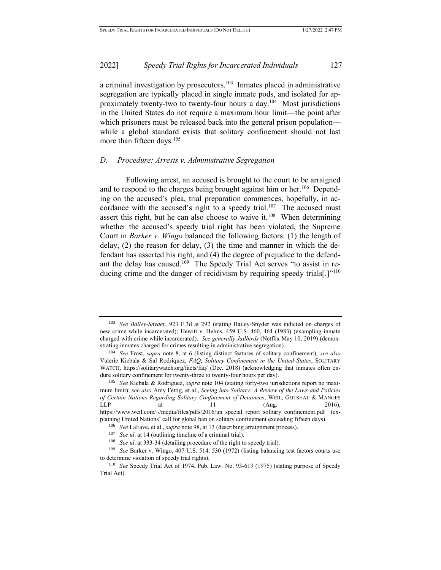a criminal investigation by prosecutors.<sup>103</sup> Inmates placed in administrative segregation are typically placed in single inmate pods, and isolated for approximately twenty-two to twenty-four hours a day.<sup>104</sup> Most jurisdictions in the United States do not require a maximum hour limit—the point after which prisoners must be released back into the general prison population while a global standard exists that solitary confinement should not last more than fifteen days.<sup>105</sup>

# *D. Procedure: Arrests v. Administrative Segregation*

Following arrest, an accused is brought to the court to be arraigned and to respond to the charges being brought against him or her.<sup>106</sup> Depending on the accused's plea, trial preparation commences, hopefully, in accordance with the accused's right to a speedy trial.<sup>107</sup> The accused must assert this right, but he can also choose to waive it.<sup>108</sup> When determining whether the accused's speedy trial right has been violated, the Supreme Court in *Barker v. Wingo* balanced the following factors: (1) the length of delay, (2) the reason for delay, (3) the time and manner in which the defendant has asserted his right, and (4) the degree of prejudice to the defendant the delay has caused.<sup>109</sup> The Speedy Trial Act serves "to assist in reducing crime and the danger of recidivism by requiring speedy trials<sup>[1]'110</sup>

<sup>103</sup> *See Bailey-Snyder*, 923 F.3d at 292 (stating Bailey-Snyder was indicted on charges of new crime while incarcerated); Hewitt v. Helms, 459 U.S. 460, 464 (1983) (exampling inmate charged with crime while incarcerated). *See generally Jailbirds* (Netflix May 10, 2019) (demonstrating inmates charged for crimes resulting in administrative segregation).

<sup>104</sup> *See* Frost, *supra* note 8, at 6 (listing distinct features of solitary confinement); *see also*  Valerie Kiebala & Sal Rodriquez, *FAQ*, *Solitary Confinement in the United States*, SOLITARY WATCH, https://solitarywatch.org/facts/faq/ (Dec. 2018) (acknowledging that inmates often endure solitary confinement for twenty-three to twenty-four hours per day).

<sup>105</sup> *See* Kiebala & Rodriguez, *supra* note 104 (stating forty-two jurisdictions report no maximum limit); *see also* Amy Fettig, et al., *Seeing into Solitary: A Review of the Laws and Policies of Certain Nations Regarding Solitary Confinement of Detainees*, WEIL, GOTSHAL & MANGES  $LLP$  at 11 (Aug. 2016), https://www.weil.com/~/media/files/pdfs/2016/un\_special\_report\_solitary\_confinement.pdf (explaining United Nations' call for global ban on solitary confinement exceeding fifteen days).

<sup>106</sup> *See* LaFave, et al., *supra* note 98, at 13 (describing arraignment process).

<sup>107</sup> *See id*. at 14 (outlining timeline of a criminal trial).

<sup>108</sup> *See id*. at 333-34 (detailing procedure of the right to speedy trial).

<sup>109</sup> *See* Barker v. Wingo, 407 U.S. 514, 530 (1972) (listing balancing test factors courts use to determine violation of speedy trial rights).

<sup>110</sup> *See* Speedy Trial Act of 1974, Pub. Law. No. 93-619 (1975) (stating purpose of Speedy Trial Act).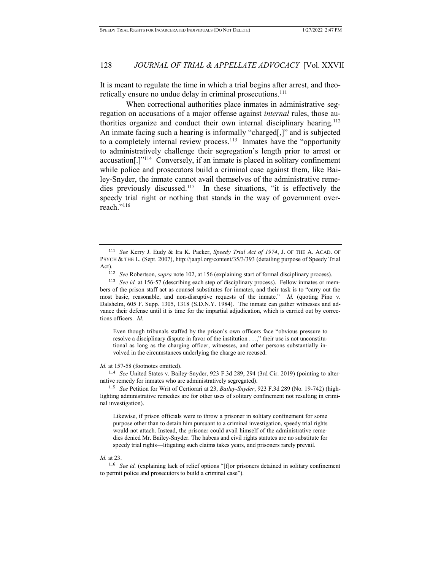It is meant to regulate the time in which a trial begins after arrest, and theoretically ensure no undue delay in criminal prosecutions.<sup>111</sup>

When correctional authorities place inmates in administrative segregation on accusations of a major offense against *internal* rules, those authorities organize and conduct their own internal disciplinary hearing.<sup>112</sup> An inmate facing such a hearing is informally "charged[,]" and is subjected to a completely internal review process.<sup>113</sup> Inmates have the "opportunity" to administratively challenge their segregation's length prior to arrest or accusation[.]"<sup>114</sup> Conversely, if an inmate is placed in solitary confinement while police and prosecutors build a criminal case against them, like Bailey-Snyder, the inmate cannot avail themselves of the administrative remedies previously discussed.<sup>115</sup> In these situations, "it is effectively the speedy trial right or nothing that stands in the way of government overreach."<sup>116</sup>

Even though tribunals staffed by the prison's own officers face "obvious pressure to resolve a disciplinary dispute in favor of the institution . . .," their use is not unconstitutional as long as the charging officer, witnesses, and other persons substantially involved in the circumstances underlying the charge are recused.

*Id.* at 157-58 (footnotes omitted).

<sup>114</sup> *See* United States v. Bailey-Snyder, 923 F.3d 289, 294 (3rd Cir. 2019) (pointing to alternative remedy for inmates who are administratively segregated).

<sup>115</sup> *See* Petition for Writ of Certiorari at 23, *Bailey-Snyder*, 923 F.3d 289 (No. 19-742) (highlighting administrative remedies are for other uses of solitary confinement not resulting in criminal investigation).

Likewise, if prison officials were to throw a prisoner in solitary confinement for some purpose other than to detain him pursuant to a criminal investigation, speedy trial rights would not attach. Instead, the prisoner could avail himself of the administrative remedies denied Mr. Bailey-Snyder. The habeas and civil rights statutes are no substitute for speedy trial rights—litigating such claims takes years, and prisoners rarely prevail.

#### *Id.* at 23.

<sup>116</sup> *See id.* (explaining lack of relief options "[f]or prisoners detained in solitary confinement to permit police and prosecutors to build a criminal case").

<sup>111</sup> *See* Kerry J. Eudy & Ira K. Packer, *Speedy Trial Act of 1974*, J. OF THE A. ACAD. OF PSYCH & THE L. (Sept. 2007), http://jaapl.org/content/35/3/393 (detailing purpose of Speedy Trial Act).

<sup>112</sup> *See* Robertson, *supra* note 102, at 156 (explaining start of formal disciplinary process).

<sup>&</sup>lt;sup>113</sup> *See id.* at 156-57 (describing each step of disciplinary process). Fellow inmates or members of the prison staff act as counsel substitutes for inmates, and their task is to "carry out the most basic, reasonable, and non-disruptive requests of the inmate." *Id.* (quoting Pino v. Dalshelm, 605 F. Supp. 1305, 1318 (S.D.N.Y. 1984). The inmate can gather witnesses and advance their defense until it is time for the impartial adjudication, which is carried out by corrections officers. *Id.*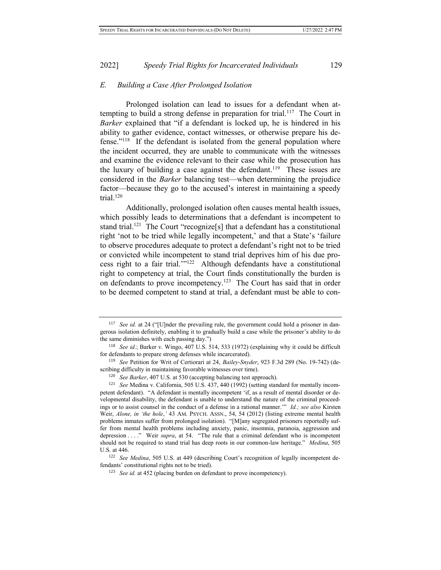#### *E. Building a Case After Prolonged Isolation*

Prolonged isolation can lead to issues for a defendant when attempting to build a strong defense in preparation for trial.<sup>117</sup> The Court in *Barker* explained that "if a defendant is locked up, he is hindered in his ability to gather evidence, contact witnesses, or otherwise prepare his defense."<sup>118</sup> If the defendant is isolated from the general population where the incident occurred, they are unable to communicate with the witnesses and examine the evidence relevant to their case while the prosecution has the luxury of building a case against the defendant.<sup>119</sup> These issues are considered in the *Barker* balancing test—when determining the prejudice factor—because they go to the accused's interest in maintaining a speedy trial. $120$ 

Additionally, prolonged isolation often causes mental health issues, which possibly leads to determinations that a defendant is incompetent to stand trial.<sup>121</sup> The Court "recognize<sup>[s]</sup> that a defendant has a constitutional right 'not to be tried while legally incompetent,' and that a State's 'failure to observe procedures adequate to protect a defendant's right not to be tried or convicted while incompetent to stand trial deprives him of his due process right to a fair trial.'"<sup>122</sup> Although defendants have a constitutional right to competency at trial, the Court finds constitutionally the burden is on defendants to prove incompetency.<sup>123</sup> The Court has said that in order to be deemed competent to stand at trial, a defendant must be able to con-

<sup>&</sup>lt;sup>117</sup> *See id.* at 24 ("[U]nder the prevailing rule, the government could hold a prisoner in dangerous isolation definitely, enabling it to gradually build a case while the prisoner's ability to do the same diminishes with each passing day.")

<sup>118</sup> *See id.*; Barker v. Wingo, 407 U.S. 514, 533 (1972) (explaining why it could be difficult for defendants to prepare strong defenses while incarcerated).

<sup>119</sup> *See* Petition for Writ of Certiorari at 24, *Bailey-Snyder*, 923 F.3d 289 (No. 19-742) (describing difficulty in maintaining favorable witnesses over time).

<sup>120</sup> *See Barker*, 407 U.S. at 530 (accepting balancing test approach).

<sup>121</sup> *See* Medina v. California, 505 U.S. 437, 440 (1992) (setting standard for mentally incompetent defendant). "A defendant is mentally incompetent 'if, as a result of mental disorder or developmental disability, the defendant is unable to understand the nature of the criminal proceedings or to assist counsel in the conduct of a defense in a rational manner.'" *Id.; see also* Kirsten Weir, *Alone, in 'the hole*,' 43 AM. PSYCH. ASSN., 54, 54 (2012) (listing extreme mental health problems inmates suffer from prolonged isolation). "[M]any segregated prisoners reportedly suffer from mental health problems including anxiety, panic, insomnia, paranoia, aggression and depression . . . . " Weir *supra*, at 54. "The rule that a criminal defendant who is incompetent should not be required to stand trial has deep roots in our common-law heritage." *Medina*, 505 U.S. at 446.

<sup>&</sup>lt;sup>122</sup> *See Medina*, 505 U.S. at 449 (describing Court's recognition of legally incompetent defendants' constitutional rights not to be tried).

<sup>&</sup>lt;sup>123</sup> *See id.* at 452 (placing burden on defendant to prove incompetency).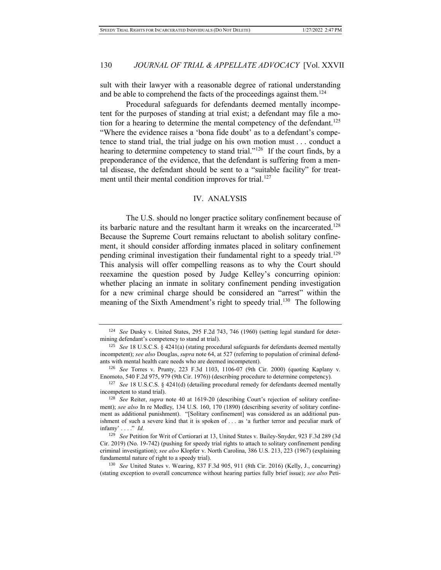sult with their lawyer with a reasonable degree of rational understanding and be able to comprehend the facts of the proceedings against them.<sup>124</sup>

Procedural safeguards for defendants deemed mentally incompetent for the purposes of standing at trial exist; a defendant may file a motion for a hearing to determine the mental competency of the defendant.<sup>125</sup> "Where the evidence raises a 'bona fide doubt' as to a defendant's competence to stand trial, the trial judge on his own motion must . . . conduct a hearing to determine competency to stand trial."<sup>126</sup> If the court finds, by a preponderance of the evidence, that the defendant is suffering from a mental disease, the defendant should be sent to a "suitable facility" for treatment until their mental condition improves for trial.<sup>127</sup>

# IV. ANALYSIS

The U.S. should no longer practice solitary confinement because of its barbaric nature and the resultant harm it wreaks on the incarcerated.<sup>128</sup> Because the Supreme Court remains reluctant to abolish solitary confinement, it should consider affording inmates placed in solitary confinement pending criminal investigation their fundamental right to a speedy trial.<sup>129</sup> This analysis will offer compelling reasons as to why the Court should reexamine the question posed by Judge Kelley's concurring opinion: whether placing an inmate in solitary confinement pending investigation for a new criminal charge should be considered an "arrest" within the meaning of the Sixth Amendment's right to speedy trial.<sup>130</sup> The following

<sup>124</sup> *See* Dusky v. United States, 295 F.2d 743, 746 (1960) (setting legal standard for determining defendant's competency to stand at trial).

<sup>125</sup> *See* 18 U.S.C.S. § 4241(a) (stating procedural safeguards for defendants deemed mentally incompetent); *see also* Douglas, *supra* note 64, at 527 (referring to population of criminal defendants with mental health care needs who are deemed incompetent).

<sup>126</sup> *See* Torres v. Prunty, 223 F.3d 1103, 1106-07 (9th Cir. 2000) (quoting Kaplany v. Enomoto, 540 F.2d 975, 979 (9th Cir. 1976)) (describing procedure to determine competency).

<sup>127</sup> *See* 18 U.S.C.S. § 4241(d) (detailing procedural remedy for defendants deemed mentally incompetent to stand trial).

<sup>128</sup> *See* Reiter, *supra* note 40 at 1619-20 (describing Court's rejection of solitary confinement); *see also* In re Medley, 134 U.S. 160, 170 (1890) (describing severity of solitary confinement as additional punishment). "[Solitary confinement] was considered as an additional punishment of such a severe kind that it is spoken of . . . as 'a further terror and peculiar mark of infamy' . . . ." *Id.* 

<sup>129</sup> *See* Petition for Writ of Certiorari at 13, United States v. Bailey-Snyder, 923 F.3d 289 (3d Cir. 2019) (No. 19-742) (pushing for speedy trial rights to attach to solitary confinement pending criminal investigation); *see also* Klopfer v. North Carolina, 386 U.S. 213, 223 (1967) (explaining fundamental nature of right to a speedy trial).

<sup>130</sup> *See* United States v. Wearing, 837 F.3d 905, 911 (8th Cir. 2016) (Kelly, J., concurring) (stating exception to overall concurrence without hearing parties fully brief issue); *see also* Peti-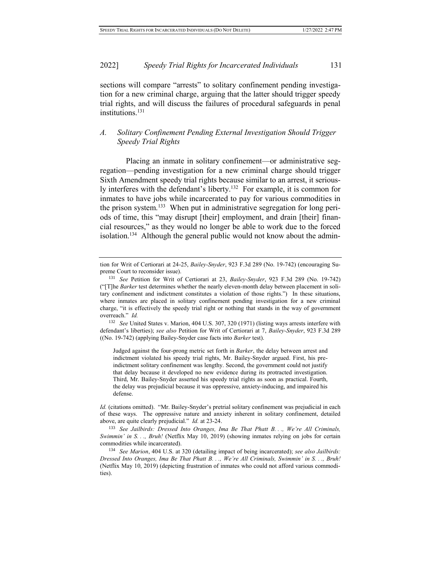sections will compare "arrests" to solitary confinement pending investigation for a new criminal charge, arguing that the latter should trigger speedy trial rights, and will discuss the failures of procedural safeguards in penal institutions.<sup>131</sup>

# *A. Solitary Confinement Pending External Investigation Should Trigger Speedy Trial Rights*

Placing an inmate in solitary confinement—or administrative segregation—pending investigation for a new criminal charge should trigger Sixth Amendment speedy trial rights because similar to an arrest, it seriously interferes with the defendant's liberty.<sup>132</sup> For example, it is common for inmates to have jobs while incarcerated to pay for various commodities in the prison system.<sup>133</sup> When put in administrative segregation for long periods of time, this "may disrupt [their] employment, and drain [their] financial resources," as they would no longer be able to work due to the forced isolation.<sup>134</sup> Although the general public would not know about the admin-

<sup>132</sup> *See* United States v. Marion, 404 U.S. 307, 320 (1971) (listing ways arrests interfere with defendant's liberties); *see also* Petition for Writ of Certiorari at 7, *Bailey-Snyder*, 923 F.3d 289 ((No. 19-742) (applying Bailey-Snyder case facts into *Barker* test).

Judged against the four-prong metric set forth in *Barker*, the delay between arrest and indictment violated his speedy trial rights, Mr. Bailey-Snyder argued. First, his preindictment solitary confinement was lengthy. Second, the government could not justify that delay because it developed no new evidence during its protracted investigation. Third, Mr. Bailey-Snyder asserted his speedy trial rights as soon as practical. Fourth, the delay was prejudicial because it was oppressive, anxiety-inducing, and impaired his defense.

Id. (citations omitted). "Mr. Bailey-Snyder's pretrial solitary confinement was prejudicial in each of these ways. The oppressive nature and anxiety inherent in solitary confinement, detailed above, are quite clearly prejudicial." *Id.* at 23-24.

<sup>133</sup> *See Jailbirds: Dressed Into Oranges, Ima Be That Phatt B. . ., We're All Criminals, Swimmin' in S. . ., Bruh!* (Netflix May 10, 2019) (showing inmates relying on jobs for certain commodities while incarcerated).

tion for Writ of Certiorari at 24-25, *Bailey-Snyder*, 923 F.3d 289 (No. 19-742) (encouraging Supreme Court to reconsider issue).

<sup>131</sup> *See* Petition for Writ of Certiorari at 23, *Bailey-Snyder*, 923 F.3d 289 (No. 19-742) ("[T]he *Barker* test determines whether the nearly eleven-month delay between placement in solitary confinement and indictment constitutes a violation of those rights.") In these situations, where inmates are placed in solitary confinement pending investigation for a new criminal charge, "it is effectively the speedy trial right or nothing that stands in the way of government overreach." *Id.*

<sup>134</sup> *See Marion*, 404 U.S. at 320 (detailing impact of being incarcerated); *see also Jailbirds: Dressed Into Oranges, Ima Be That Phatt B. . ., We're All Criminals, Swimmin' in S. . ., Bruh!*  (Netflix May 10, 2019) (depicting frustration of inmates who could not afford various commodities).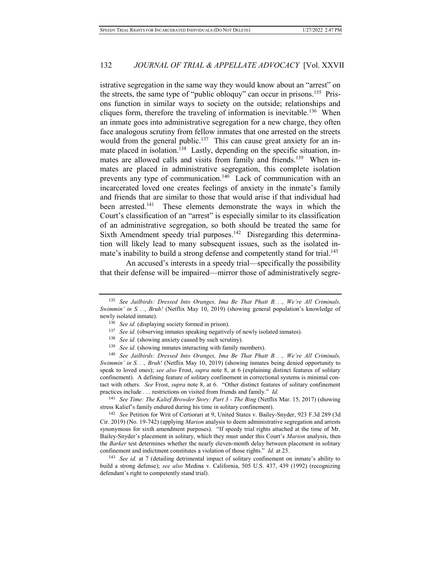istrative segregation in the same way they would know about an "arrest" on the streets, the same type of "public obloquy" can occur in prisons.<sup>135</sup> Prisons function in similar ways to society on the outside; relationships and cliques form, therefore the traveling of information is inevitable.<sup>136</sup> When an inmate goes into administrative segregation for a new charge, they often face analogous scrutiny from fellow inmates that one arrested on the streets would from the general public.<sup>137</sup> This can cause great anxiety for an inmate placed in isolation.<sup>138</sup> Lastly, depending on the specific situation, inmates are allowed calls and visits from family and friends.<sup>139</sup> When inmates are placed in administrative segregation, this complete isolation prevents any type of communication.<sup>140</sup> Lack of communication with an incarcerated loved one creates feelings of anxiety in the inmate's family and friends that are similar to those that would arise if that individual had been arrested.<sup>141</sup> These elements demonstrate the ways in which the Court's classification of an "arrest" is especially similar to its classification of an administrative segregation, so both should be treated the same for Sixth Amendment speedy trial purposes.<sup>142</sup> Disregarding this determination will likely lead to many subsequent issues, such as the isolated inmate's inability to build a strong defense and competently stand for trial.<sup>143</sup>

An accused's interests in a speedy trial—specifically the possibility that their defense will be impaired—mirror those of administratively segre-

- <sup>137</sup> *See id.* (observing inmates speaking negatively of newly isolated inmates).
- <sup>138</sup> *See id.* (showing anxiety caused by such scrutiny).
- <sup>139</sup> *See id.* (showing inmates interacting with family members).

<sup>140</sup> *See Jailbirds: Dressed Into Oranges, Ima Be That Phatt B. . ., We're All Criminals, Swimmin' in S. . ., Bruh!* (Netflix May 10, 2019) (showing inmates being denied opportunity to speak to loved ones); *see also* Frost, *supra* note 8, at 6 (explaining distinct features of solitary confinement). A defining feature of solitary confinement in correctional systems is minimal contact with others. *See* Frost, *supra* note 8, at 6. "Other distinct features of solitary confinement practices include . . . restrictions on visited from friends and family." *Id.* 

<sup>141</sup> *See Time: The Kalief Browder Story: Part 3 - The Bing* (Netflix Mar. 15, 2017) (showing stress Kalief's family endured during his time in solitary confinement).

<sup>142</sup> *See* Petition for Writ of Certiorari at 9, United States v. Bailey-Snyder, 923 F.3d 289 (3d Cir. 2019) (No. 19-742) (applying *Marion* analysis to deem administrative segregation and arrests synonymous for sixth amendment purposes). "If speedy trial rights attached at the time of Mr. Bailey-Snyder's placement in solitary, which they must under this Court's *Marion* analysis, then the *Barker* test determines whether the nearly eleven-month delay between placement in solitary confinement and indictment constitutes a violation of those rights." *Id.* at 23.

<sup>143</sup> *See id.* at 7 (detailing detrimental impact of solitary confinement on inmate's ability to build a strong defense); *see also* Medina v. California, 505 U.S. 437, 439 (1992) (recognizing defendant's right to competently stand trial).

<sup>135</sup> *See Jailbirds: Dressed Into Oranges, Ima Be That Phatt B. . ., We're All Criminals, Swimmin' in S. . ., Bruh!* (Netflix May 10, 2019) (showing general population's knowledge of newly isolated inmate).

<sup>136</sup> *See id.* (displaying society formed in prison).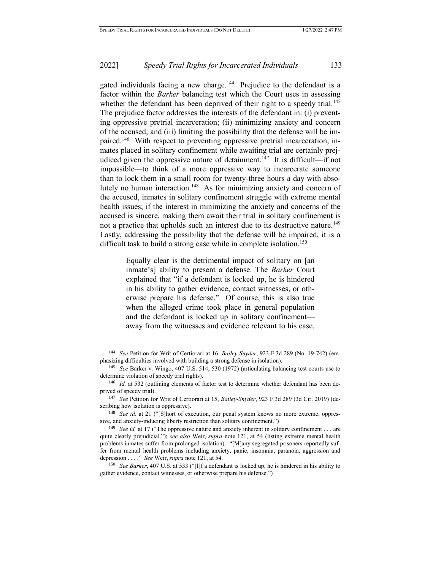gated individuals facing a new charge.<sup>144</sup> Prejudice to the defendant is a factor within the *Barker* balancing test which the Court uses in assessing whether the defendant has been deprived of their right to a speedy trial.<sup>145</sup> The prejudice factor addresses the interests of the defendant in: (i) preventing oppressive pretrial incarceration; (ii) minimizing anxiety and concern of the accused; and (iii) limiting the possibility that the defense will be impaired.<sup>146</sup> With respect to preventing oppressive pretrial incarceration, inmates placed in solitary confinement while awaiting trial are certainly prejudiced given the oppressive nature of detainment.<sup>147</sup> It is difficult—if not impossible—to think of a more oppressive way to incarcerate someone than to lock them in a small room for twenty-three hours a day with absolutely no human interaction.<sup>148</sup> As for minimizing anxiety and concern of the accused, inmates in solitary confinement struggle with extreme mental health issues; if the interest in minimizing the anxiety and concerns of the accused is sincere, making them await their trial in solitary confinement is not a practice that upholds such an interest due to its destructive nature.<sup>149</sup> Lastly, addressing the possibility that the defense will be impaired, it is a difficult task to build a strong case while in complete isolation.<sup>150</sup>

> Equally clear is the detrimental impact of solitary on [an inmate's] ability to present a defense. The *Barker* Court explained that "if a defendant is locked up, he is hindered in his ability to gather evidence, contact witnesses, or otherwise prepare his defense." Of course, this is also true when the alleged crime took place in general population and the defendant is locked up in solitary confinement away from the witnesses and evidence relevant to his case.

<sup>144</sup> *See* Petition for Writ of Certiorari at 16, *Bailey-Snyder*, 923 F.3d 289 (No. 19-742) (emphasizing difficulties involved with building a strong defense in isolation).

<sup>145</sup> *See* Barker v. Wingo, 407 U.S. 514, 530 (1972) (articulating balancing test courts use to determine violation of speedy trial rights).

<sup>146</sup> *Id.* at 532 (outlining elements of factor test to determine whether defendant has been deprived of speedy trial).

<sup>147</sup> *See* Petition for Writ of Certiorari at 15, *Bailey-Snyder*, 923 F.3d 289 (3d Cir. 2019) (describing how isolation is oppressive).

<sup>&</sup>lt;sup>148</sup> *See id.* at 21 ("[S]hort of execution, our penal system knows no more extreme, oppressive, and anxiety-inducing liberty restriction than solitary confinement.")

<sup>&</sup>lt;sup>149</sup> *See id.* at 17 ("The oppressive nature and anxiety inherent in solitary confinement . . . are quite clearly prejudicial."); *see also* Weir, *supra* note 121, at 54 (listing extreme mental health problems inmates suffer from prolonged isolation). "[M]any segregated prisoners reportedly suffer from mental health problems including anxiety, panic, insomnia, paranoia, aggression and depression . . . ." *See* Weir, *supra* note 121, at 54.

<sup>150</sup> *See Barker*, 407 U.S. at 533 ("[I]f a defendant is locked up, he is hindered in his ability to gather evidence, contact witnesses, or otherwise prepare his defense.")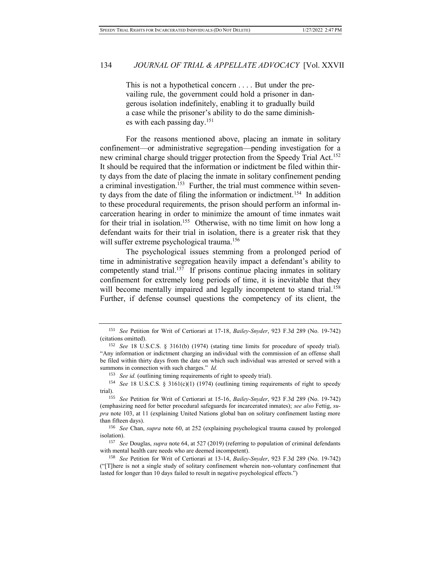This is not a hypothetical concern . . . . But under the prevailing rule, the government could hold a prisoner in dangerous isolation indefinitely, enabling it to gradually build a case while the prisoner's ability to do the same diminishes with each passing day.<sup>151</sup>

For the reasons mentioned above, placing an inmate in solitary confinement—or administrative segregation—pending investigation for a new criminal charge should trigger protection from the Speedy Trial Act.<sup>152</sup> It should be required that the information or indictment be filed within thirty days from the date of placing the inmate in solitary confinement pending a criminal investigation.<sup>153</sup> Further, the trial must commence within seventy days from the date of filing the information or indictment.<sup>154</sup> In addition to these procedural requirements, the prison should perform an informal incarceration hearing in order to minimize the amount of time inmates wait for their trial in isolation.<sup>155</sup> Otherwise, with no time limit on how long a defendant waits for their trial in isolation, there is a greater risk that they will suffer extreme psychological trauma.<sup>156</sup>

The psychological issues stemming from a prolonged period of time in administrative segregation heavily impact a defendant's ability to competently stand trial.<sup>157</sup> If prisons continue placing inmates in solitary confinement for extremely long periods of time, it is inevitable that they will become mentally impaired and legally incompetent to stand trial.<sup>158</sup> Further, if defense counsel questions the competency of its client, the

<sup>151</sup> *See* Petition for Writ of Certiorari at 17-18, *Bailey-Snyder*, 923 F.3d 289 (No. 19-742) (citations omitted).

<sup>152</sup> *See* 18 U.S.C.S. § 3161(b) (1974) (stating time limits for procedure of speedy trial). "Any information or indictment charging an individual with the commission of an offense shall be filed within thirty days from the date on which such individual was arrested or served with a summons in connection with such charges." *Id.* 

<sup>&</sup>lt;sup>153</sup> *See id.* (outlining timing requirements of right to speedy trial).

<sup>154</sup> *See* 18 U.S.C.S. § 3161(c)(1) (1974) (outlining timing requirements of right to speedy trial).

<sup>155</sup> *See* Petition for Writ of Certiorari at 15-16, *Bailey-Snyder*, 923 F.3d 289 (No. 19-742) (emphasizing need for better procedural safeguards for incarcerated inmates); *see also* Fettig, *supra* note 103, at 11 (explaining United Nations global ban on solitary confinement lasting more than fifteen days).

<sup>156</sup> *See* Chan, *supra* note 60, at 252 (explaining psychological trauma caused by prolonged isolation).

<sup>157</sup> *See* Douglas, *supra* note 64, at 527 (2019) (referring to population of criminal defendants with mental health care needs who are deemed incompetent).

<sup>158</sup> *See* Petition for Writ of Certiorari at 13-14, *Bailey-Snyder*, 923 F.3d 289 (No. 19-742) ("[T]here is not a single study of solitary confinement wherein non-voluntary confinement that lasted for longer than 10 days failed to result in negative psychological effects.")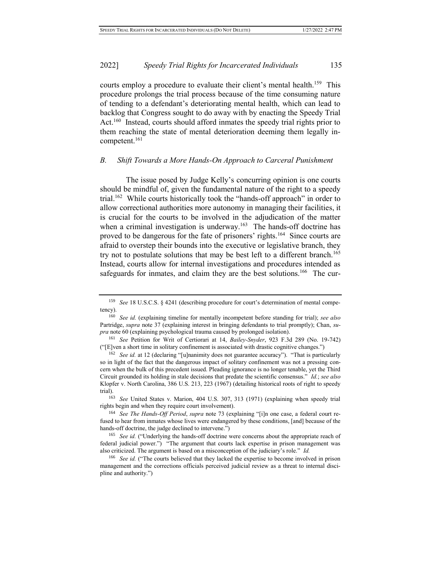courts employ a procedure to evaluate their client's mental health.<sup>159</sup> This procedure prolongs the trial process because of the time consuming nature of tending to a defendant's deteriorating mental health, which can lead to backlog that Congress sought to do away with by enacting the Speedy Trial Act.<sup>160</sup> Instead, courts should afford inmates the speedy trial rights prior to them reaching the state of mental deterioration deeming them legally incompetent.<sup>161</sup>

# *B. Shift Towards a More Hands-On Approach to Carceral Punishment*

The issue posed by Judge Kelly's concurring opinion is one courts should be mindful of, given the fundamental nature of the right to a speedy trial.<sup>162</sup> While courts historically took the "hands-off approach" in order to allow correctional authorities more autonomy in managing their facilities, it is crucial for the courts to be involved in the adjudication of the matter when a criminal investigation is underway.<sup>163</sup> The hands-off doctrine has proved to be dangerous for the fate of prisoners' rights.<sup>164</sup> Since courts are afraid to overstep their bounds into the executive or legislative branch, they try not to postulate solutions that may be best left to a different branch.<sup>165</sup> Instead, courts allow for internal investigations and procedures intended as safeguards for inmates, and claim they are the best solutions.<sup>166</sup> The cur-

<sup>159</sup> *See* 18 U.S.C.S. § 4241 (describing procedure for court's determination of mental competency).

<sup>160</sup> *See id.* (explaining timeline for mentally incompetent before standing for trial); *see also* Partridge, *supra* note 37 (explaining interest in bringing defendants to trial promptly); Chan, *supra* note 60 (explaining psychological trauma caused by prolonged isolation).

<sup>161</sup> *See* Petition for Writ of Certiorari at 14, *Bailey-Snyder*, 923 F.3d 289 (No. 19-742) ("[E]ven a short time in solitary confinement is associated with drastic cognitive changes.")

<sup>&</sup>lt;sup>162</sup> *See id.* at 12 (declaring "[u]nanimity does not guarantee accuracy"). "That is particularly so in light of the fact that the dangerous impact of solitary confinement was not a pressing concern when the bulk of this precedent issued. Pleading ignorance is no longer tenable, yet the Third Circuit grounded its holding in stale decisions that predate the scientific consensus." *Id.*; *see also*  Klopfer v. North Carolina, 386 U.S. 213, 223 (1967) (detailing historical roots of right to speedy trial).

<sup>163</sup> *See* United States v. Marion, 404 U.S. 307, 313 (1971) (explaining when speedy trial rights begin and when they require court involvement).

<sup>164</sup> *See The Hands-Off Period*, *supra* note 73 (explaining "[i]n one case, a federal court refused to hear from inmates whose lives were endangered by these conditions, [and] because of the hands-off doctrine, the judge declined to intervene.")

<sup>&</sup>lt;sup>165</sup> See id. ("Underlying the hands-off doctrine were concerns about the appropriate reach of federal judicial power.") "The argument that courts lack expertise in prison management was also criticized. The argument is based on a misconception of the judiciary's role." *Id.*

<sup>166</sup> *See id.* ("The courts believed that they lacked the expertise to become involved in prison management and the corrections officials perceived judicial review as a threat to internal discipline and authority.")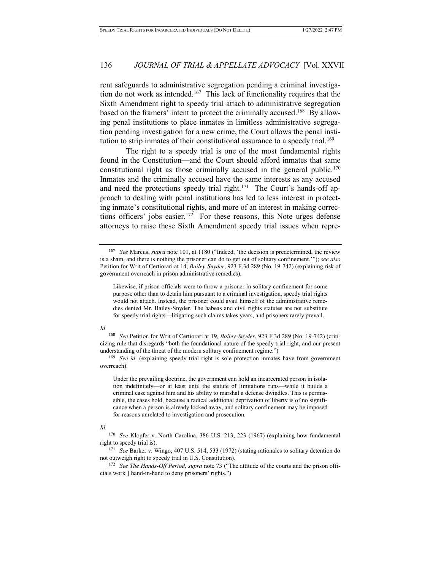rent safeguards to administrative segregation pending a criminal investigation do not work as intended.<sup>167</sup> This lack of functionality requires that the Sixth Amendment right to speedy trial attach to administrative segregation based on the framers' intent to protect the criminally accused.<sup>168</sup> By allowing penal institutions to place inmates in limitless administrative segregation pending investigation for a new crime, the Court allows the penal institution to strip inmates of their constitutional assurance to a speedy trial.<sup>169</sup>

The right to a speedy trial is one of the most fundamental rights found in the Constitution—and the Court should afford inmates that same constitutional right as those criminally accused in the general public.<sup>170</sup> Inmates and the criminally accused have the same interests as any accused and need the protections speedy trial right.<sup>171</sup> The Court's hands-off approach to dealing with penal institutions has led to less interest in protecting inmate's constitutional rights, and more of an interest in making corrections officers' jobs easier.<sup>172</sup> For these reasons, this Note urges defense attorneys to raise these Sixth Amendment speedy trial issues when repre-

#### *Id.*

<sup>168</sup> *See* Petition for Writ of Certiorari at 19, *Bailey-Snyder*, 923 F.3d 289 (No. 19-742) (criticizing rule that disregards "both the foundational nature of the speedy trial right, and our present understanding of the threat of the modern solitary confinement regime.")

<sup>169</sup> *See id.* (explaining speedy trial right is sole protection inmates have from government overreach).

Under the prevailing doctrine, the government can hold an incarcerated person in isolation indefinitely—or at least until the statute of limitations runs—while it builds a criminal case against him and his ability to marshal a defense dwindles. This is permissible, the cases hold, because a radical additional deprivation of liberty is of no significance when a person is already locked away, and solitary confinement may be imposed for reasons unrelated to investigation and prosecution.

#### *Id.*

<sup>171</sup> *See* Barker v. Wingo, 407 U.S. 514, 533 (1972) (stating rationales to solitary detention do not outweigh right to speedy trial in U.S. Constitution).

<sup>172</sup> *See The Hands-Off Period, supra* note 73 ("The attitude of the courts and the prison officials work[] hand-in-hand to deny prisoners' rights.")

<sup>167</sup> *See* Marcus, *supra* note 101, at 1180 ("Indeed, 'the decision is predetermined, the review is a sham, and there is nothing the prisoner can do to get out of solitary confinement.'"); *see also*  Petition for Writ of Certiorari at 14, *Bailey-Snyder*, 923 F.3d 289 (No. 19-742) (explaining risk of government overreach in prison administrative remedies).

Likewise, if prison officials were to throw a prisoner in solitary confinement for some purpose other than to detain him pursuant to a criminal investigation, speedy trial rights would not attach. Instead, the prisoner could avail himself of the administrative remedies denied Mr. Bailey-Snyder. The habeas and civil rights statutes are not substitute for speedy trial rights—litigating such claims takes years, and prisoners rarely prevail.

<sup>170</sup> *See* Klopfer v. North Carolina, 386 U.S. 213, 223 (1967) (explaining how fundamental right to speedy trial is).